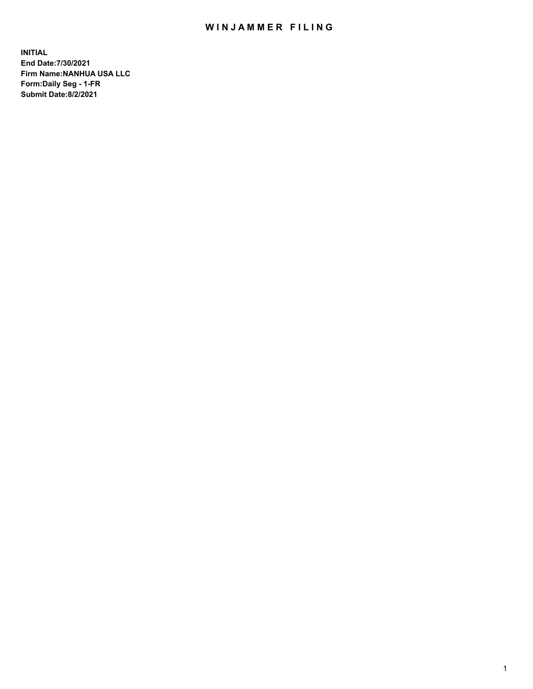## WIN JAMMER FILING

**INITIAL End Date:7/30/2021 Firm Name:NANHUA USA LLC Form:Daily Seg - 1-FR Submit Date:8/2/2021**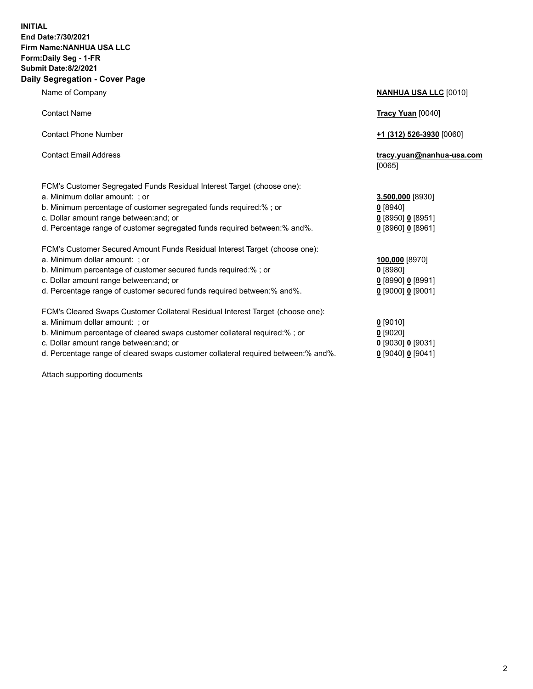## **INITIAL End Date:7/30/2021 Firm Name:NANHUA USA LLC Form:Daily Seg - 1-FR Submit Date:8/2/2021 Daily Segregation - Cover Page**

Name of Company **NANHUA USA LLC** [0010] Contact Name **Tracy Yuan** [0040] Contact Phone Number **+1 (312) 526-3930** [0060] Contact Email Address **tracy.yuan@nanhua-usa.com** [0065] FCM's Customer Segregated Funds Residual Interest Target (choose one): a. Minimum dollar amount: ; or **3,500,000** [8930] b. Minimum percentage of customer segregated funds required:% ; or **0** [8940] c. Dollar amount range between:and; or **0** [8950] **0** [8951] d. Percentage range of customer segregated funds required between:% and%. **0** [8960] **0** [8961] FCM's Customer Secured Amount Funds Residual Interest Target (choose one): a. Minimum dollar amount: ; or **100,000** [8970] b. Minimum percentage of customer secured funds required:% ; or **0** [8980] c. Dollar amount range between:and; or **0** [8990] **0** [8991] d. Percentage range of customer secured funds required between:% and%. **0** [9000] **0** [9001] FCM's Cleared Swaps Customer Collateral Residual Interest Target (choose one): a. Minimum dollar amount: ; or **0** [9010] b. Minimum percentage of cleared swaps customer collateral required:% ; or **0** [9020] c. Dollar amount range between:and; or **0** [9030] **0** [9031] d. Percentage range of cleared swaps customer collateral required between:% and%. **0** [9040] **0** [9041]

Attach supporting documents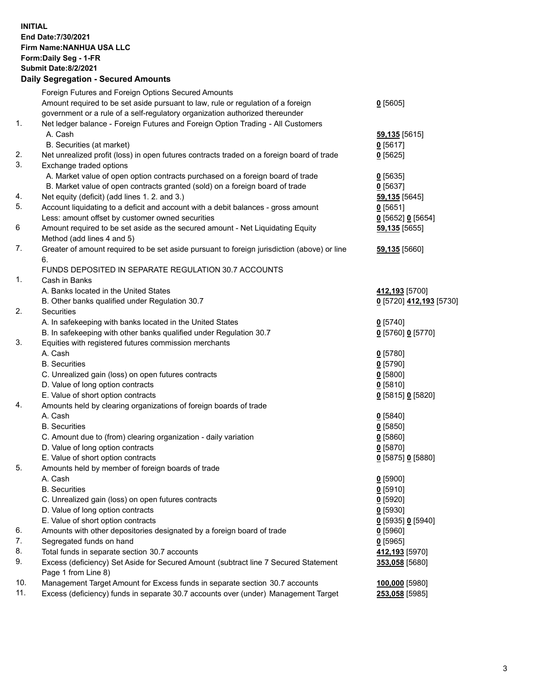**INITIAL End Date:7/30/2021 Firm Name:NANHUA USA LLC Form:Daily Seg - 1-FR Submit Date:8/2/2021 Daily Segregation - Secured Amounts**

|          | Foreign Futures and Foreign Options Secured Amounts                                                                       |                         |
|----------|---------------------------------------------------------------------------------------------------------------------------|-------------------------|
|          | Amount required to be set aside pursuant to law, rule or regulation of a foreign                                          | $0$ [5605]              |
|          | government or a rule of a self-regulatory organization authorized thereunder                                              |                         |
| 1.       | Net ledger balance - Foreign Futures and Foreign Option Trading - All Customers                                           |                         |
|          | A. Cash                                                                                                                   | 59,135 [5615]           |
|          | B. Securities (at market)                                                                                                 | $0$ [5617]              |
| 2.<br>3. | Net unrealized profit (loss) in open futures contracts traded on a foreign board of trade                                 | $0$ [5625]              |
|          | Exchange traded options                                                                                                   |                         |
|          | A. Market value of open option contracts purchased on a foreign board of trade                                            | $0$ [5635]              |
|          | B. Market value of open contracts granted (sold) on a foreign board of trade                                              | $0$ [5637]              |
| 4.<br>5. | Net equity (deficit) (add lines 1. 2. and 3.)                                                                             | 59,135 [5645]           |
|          | Account liquidating to a deficit and account with a debit balances - gross amount                                         | 0[5651]                 |
|          | Less: amount offset by customer owned securities                                                                          | 0 [5652] 0 [5654]       |
| 6        | Amount required to be set aside as the secured amount - Net Liquidating Equity                                            | 59,135 [5655]           |
| 7.       | Method (add lines 4 and 5)<br>Greater of amount required to be set aside pursuant to foreign jurisdiction (above) or line |                         |
|          | 6.                                                                                                                        | 59,135 [5660]           |
|          | FUNDS DEPOSITED IN SEPARATE REGULATION 30.7 ACCOUNTS                                                                      |                         |
| 1.       | Cash in Banks                                                                                                             |                         |
|          | A. Banks located in the United States                                                                                     | 412,193 [5700]          |
|          | B. Other banks qualified under Regulation 30.7                                                                            | 0 [5720] 412,193 [5730] |
| 2.       | Securities                                                                                                                |                         |
|          | A. In safekeeping with banks located in the United States                                                                 | $0$ [5740]              |
|          | B. In safekeeping with other banks qualified under Regulation 30.7                                                        | 0 [5760] 0 [5770]       |
| 3.       | Equities with registered futures commission merchants                                                                     |                         |
|          | A. Cash                                                                                                                   | $0$ [5780]              |
|          | <b>B.</b> Securities                                                                                                      | $0$ [5790]              |
|          | C. Unrealized gain (loss) on open futures contracts                                                                       | $0$ [5800]              |
|          | D. Value of long option contracts                                                                                         | $0$ [5810]              |
|          | E. Value of short option contracts                                                                                        | 0 [5815] 0 [5820]       |
| 4.       | Amounts held by clearing organizations of foreign boards of trade                                                         |                         |
|          | A. Cash                                                                                                                   | $0$ [5840]              |
|          | <b>B.</b> Securities                                                                                                      | $0$ [5850]              |
|          | C. Amount due to (from) clearing organization - daily variation                                                           | 0[5860]                 |
|          | D. Value of long option contracts                                                                                         | 0[5870]                 |
|          | E. Value of short option contracts                                                                                        | 0 [5875] 0 [5880]       |
| 5.       | Amounts held by member of foreign boards of trade                                                                         |                         |
|          | A. Cash                                                                                                                   | $0$ [5900]              |
|          | <b>B.</b> Securities                                                                                                      | $0$ [5910]              |
|          | C. Unrealized gain (loss) on open futures contracts                                                                       | $0$ [5920]              |
|          | D. Value of long option contracts                                                                                         | $0$ [5930]              |
|          | E. Value of short option contracts                                                                                        | 0 [5935] 0 [5940]       |
| 6.       | Amounts with other depositories designated by a foreign board of trade                                                    | $0$ [5960]              |
| 7.       | Segregated funds on hand                                                                                                  | $0$ [5965]              |
| 8.       | Total funds in separate section 30.7 accounts                                                                             | 412,193 [5970]          |
| 9.       | Excess (deficiency) Set Aside for Secured Amount (subtract line 7 Secured Statement                                       | 353,058 [5680]          |
|          | Page 1 from Line 8)                                                                                                       |                         |
| 10.      | Management Target Amount for Excess funds in separate section 30.7 accounts                                               | 100,000 [5980]          |
| 11.      | Excess (deficiency) funds in separate 30.7 accounts over (under) Management Target                                        | 253,058 [5985]          |
|          |                                                                                                                           |                         |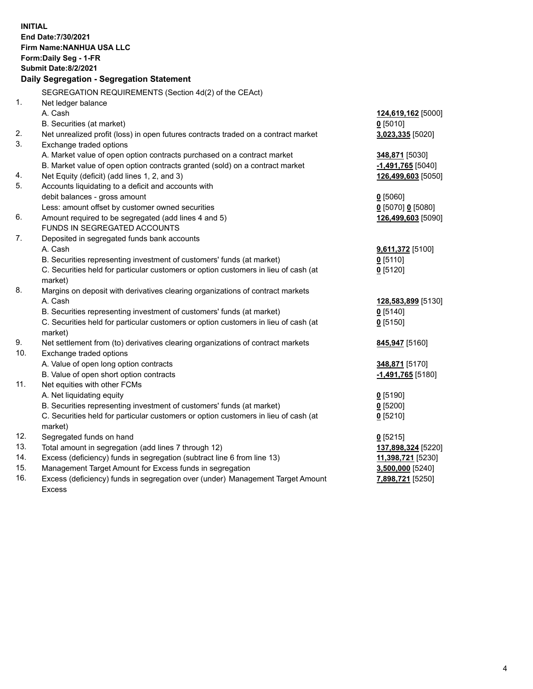| <b>INITIAL</b> |                                                                                     |                              |  |  |  |
|----------------|-------------------------------------------------------------------------------------|------------------------------|--|--|--|
|                | End Date: 7/30/2021<br>Firm Name: NANHUA USA LLC                                    |                              |  |  |  |
|                | Form: Daily Seg - 1-FR                                                              |                              |  |  |  |
|                | <b>Submit Date: 8/2/2021</b>                                                        |                              |  |  |  |
|                | Daily Segregation - Segregation Statement                                           |                              |  |  |  |
|                |                                                                                     |                              |  |  |  |
|                | SEGREGATION REQUIREMENTS (Section 4d(2) of the CEAct)                               |                              |  |  |  |
| 1.             | Net ledger balance                                                                  |                              |  |  |  |
|                | A. Cash                                                                             | 124,619,162 [5000]           |  |  |  |
|                | B. Securities (at market)                                                           | $0$ [5010]                   |  |  |  |
| 2.             | Net unrealized profit (loss) in open futures contracts traded on a contract market  | 3,023,335 [5020]             |  |  |  |
| 3.             | Exchange traded options                                                             |                              |  |  |  |
|                | A. Market value of open option contracts purchased on a contract market             | 348,871 [5030]               |  |  |  |
|                | B. Market value of open option contracts granted (sold) on a contract market        | -1,491,765 <sup>[5040]</sup> |  |  |  |
| 4.             | Net Equity (deficit) (add lines 1, 2, and 3)                                        | 126,499,603 [5050]           |  |  |  |
| 5.             | Accounts liquidating to a deficit and accounts with                                 |                              |  |  |  |
|                | debit balances - gross amount                                                       | $0$ [5060]                   |  |  |  |
|                | Less: amount offset by customer owned securities                                    | 0 [5070] 0 [5080]            |  |  |  |
| 6.             | Amount required to be segregated (add lines 4 and 5)                                | 126,499,603 [5090]           |  |  |  |
|                | FUNDS IN SEGREGATED ACCOUNTS                                                        |                              |  |  |  |
| 7.             | Deposited in segregated funds bank accounts                                         |                              |  |  |  |
|                | A. Cash                                                                             | 9,611,372 [5100]             |  |  |  |
|                | B. Securities representing investment of customers' funds (at market)               | $0$ [5110]                   |  |  |  |
|                | C. Securities held for particular customers or option customers in lieu of cash (at | $0$ [5120]                   |  |  |  |
|                | market)                                                                             |                              |  |  |  |
| 8.             | Margins on deposit with derivatives clearing organizations of contract markets      |                              |  |  |  |
|                | A. Cash                                                                             | 128,583,899 [5130]           |  |  |  |
|                | B. Securities representing investment of customers' funds (at market)               | $0$ [5140]                   |  |  |  |
|                | C. Securities held for particular customers or option customers in lieu of cash (at | $0$ [5150]                   |  |  |  |
|                | market)                                                                             |                              |  |  |  |
| 9.             | Net settlement from (to) derivatives clearing organizations of contract markets     | 845,947 [5160]               |  |  |  |
| 10.            | Exchange traded options                                                             |                              |  |  |  |
|                | A. Value of open long option contracts                                              | 348,871 [5170]               |  |  |  |
|                | B. Value of open short option contracts                                             | -1,491,765 <sup>[5180]</sup> |  |  |  |
| 11.            | Net equities with other FCMs                                                        |                              |  |  |  |
|                | A. Net liquidating equity                                                           | $0$ [5190]                   |  |  |  |
|                | B. Securities representing investment of customers' funds (at market)               | $0$ [5200]                   |  |  |  |
|                | C. Securities held for particular customers or option customers in lieu of cash (at | $0$ [5210]                   |  |  |  |
|                | market)                                                                             |                              |  |  |  |
| 12.            | Segregated funds on hand                                                            | $0$ [5215]                   |  |  |  |
| 13.            | Total amount in segregation (add lines 7 through 12)                                | 137,898,324 [5220]           |  |  |  |
| 14.            | Excess (deficiency) funds in segregation (subtract line 6 from line 13)             | 11,398,721 [5230]            |  |  |  |
| 15.            | Management Target Amount for Excess funds in segregation                            | 3,500,000 [5240]             |  |  |  |
| 16.            | Excess (deficiency) funds in segregation over (under) Management Target Amount      | 7,898,721 [5250]             |  |  |  |
|                | <b>Excess</b>                                                                       |                              |  |  |  |